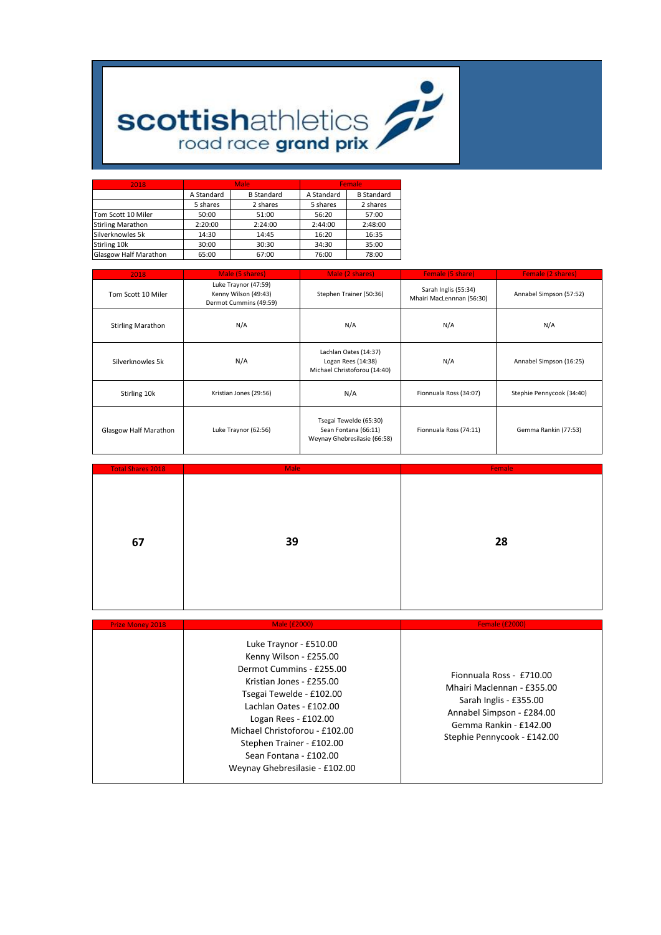

| 2018                         |            | <b>Male</b>       | <b>Female</b> |                   |  |  |
|------------------------------|------------|-------------------|---------------|-------------------|--|--|
|                              | A Standard | <b>B</b> Standard | A Standard    | <b>B</b> Standard |  |  |
|                              | 5 shares   | 2 shares          | 5 shares      | 2 shares          |  |  |
| Tom Scott 10 Miler           | 50:00      | 51:00             | 56:20         | 57:00             |  |  |
| <b>Stirling Marathon</b>     | 2:20:00    | 2:24:00           | 2:44:00       | 2:48:00           |  |  |
| Silverknowles 5k             | 14:30      | 14:45             | 16:20         | 16:35             |  |  |
| Stirling 10k                 | 30:00      | 30:30             | 34:30         | 35:00             |  |  |
| <b>Glasgow Half Marathon</b> | 65:00      | 67:00             | 76:00         | 78:00             |  |  |

| 2018                     | Male (5 shares)                                                        | Male (2 shares)                                                                | Female (5 share)       | <b>Female (2 shares)</b>  |  |
|--------------------------|------------------------------------------------------------------------|--------------------------------------------------------------------------------|------------------------|---------------------------|--|
| Tom Scott 10 Miler       | Luke Traynor (47:59)<br>Kenny Wilson (49:43)<br>Dermot Cummins (49:59) | Sarah Inglis (55:34)<br>Stephen Trainer (50:36)<br>Mhairi MacLennnan (56:30)   |                        | Annabel Simpson (57:52)   |  |
| <b>Stirling Marathon</b> | N/A                                                                    | N/A                                                                            | N/A                    | N/A                       |  |
| Silverknowles 5k         | N/A                                                                    | Lachlan Oates (14:37)<br>Logan Rees (14:38)<br>Michael Christoforou (14:40)    | N/A                    | Annabel Simpson (16:25)   |  |
| Stirling 10k             | Kristian Jones (29:56)                                                 | N/A                                                                            | Fionnuala Ross (34:07) | Stephie Pennycook (34:40) |  |
| Glasgow Half Marathon    | Luke Traynor (62:56)                                                   | Tsegai Tewelde (65:30)<br>Sean Fontana (66:11)<br>Weynay Ghebresilasie (66:58) | Fionnuala Ross (74:11) | Gemma Rankin (77:53)      |  |

| <b>Total Shares 2018</b> | <b>Male</b> | Female |
|--------------------------|-------------|--------|
|                          |             |        |
|                          |             |        |
|                          |             |        |
|                          |             |        |
|                          |             |        |
| 67                       | 39          | 28     |
|                          |             |        |
|                          |             |        |
|                          |             |        |
|                          |             |        |
|                          |             |        |

| <b>Prize Money 2018</b> | Male (£2000)                                                                                                                                                                                                                                                                                                         | <b>Female (£2000)</b>                                                                                                                                                  |
|-------------------------|----------------------------------------------------------------------------------------------------------------------------------------------------------------------------------------------------------------------------------------------------------------------------------------------------------------------|------------------------------------------------------------------------------------------------------------------------------------------------------------------------|
|                         | Luke Traynor - £510.00<br>Kenny Wilson - £255.00<br>Dermot Cummins - £255.00<br>Kristian Jones - £255.00<br>Tsegai Tewelde - £102.00<br>Lachlan Oates - £102.00<br>Logan Rees - $£102.00$<br>Michael Christoforou - £102.00<br>Stephen Trainer - £102.00<br>Sean Fontana - £102.00<br>Weynay Ghebresilasie - £102.00 | Fionnuala Ross - £710.00<br>Mhairi Maclennan - £355.00<br>Sarah Inglis - £355.00<br>Annabel Simpson - £284.00<br>Gemma Rankin - £142.00<br>Stephie Pennycook - £142.00 |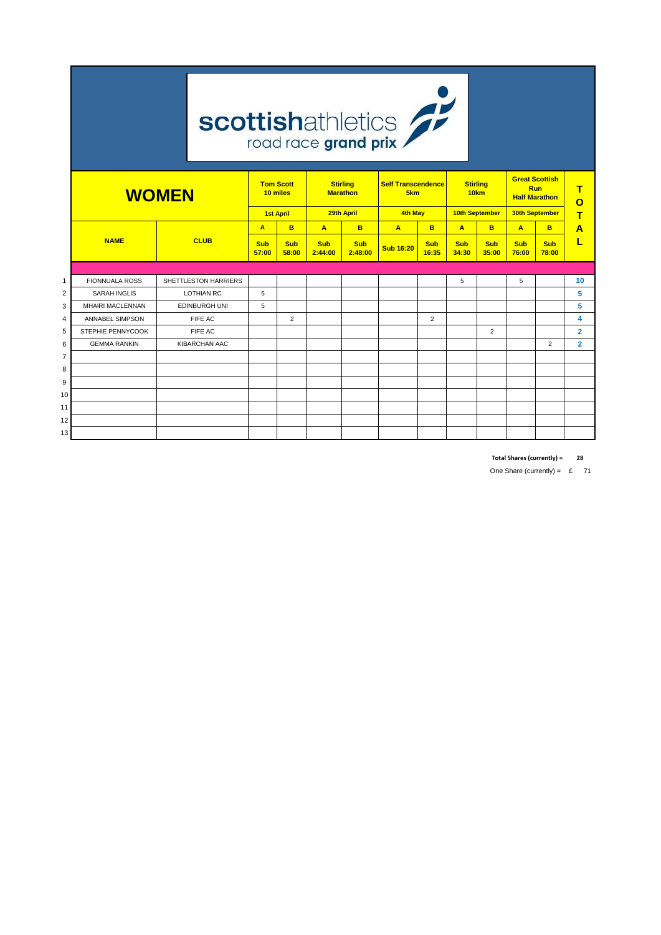|                | <b>scottishathletics</b> |                                                                    |                       |                                  |                       |                                     |                                  |                                                      |                                  |                     |                                       |                           |                |
|----------------|--------------------------|--------------------------------------------------------------------|-----------------------|----------------------------------|-----------------------|-------------------------------------|----------------------------------|------------------------------------------------------|----------------------------------|---------------------|---------------------------------------|---------------------------|----------------|
|                | <b>WOMEN</b>             | <b>Tom Scott</b><br><b>Stirling</b><br><b>Marathon</b><br>10 miles |                       | <b>Self Transcendence</b><br>5km |                       | <b>Stirling</b><br>10 <sub>km</sub> |                                  | <b>Great Scottish</b><br>Run<br><b>Half Marathon</b> |                                  | т<br>$\mathbf{o}$   |                                       |                           |                |
|                |                          |                                                                    | <b>1st April</b><br>A |                                  | $\overline{A}$        | 29th April<br>B                     | <b>4th May</b><br>$\overline{A}$ | B.                                                   | 10th September<br>$\overline{A}$ | B                   | 30th September                        |                           | т              |
|                | <b>NAME</b>              | <b>CLUB</b>                                                        | <b>Sub</b><br>57:00   | B<br><b>Sub</b><br>58:00         | <b>Sub</b><br>2:44:00 | <b>Sub</b><br>2:48:00               | <b>Sub 16:20</b>                 | <b>Sub</b><br>16:35                                  | <b>Sub</b><br>34:30              | <b>Sub</b><br>35:00 | $\overline{A}$<br><b>Sub</b><br>76:00 | B.<br><b>Sub</b><br>78:00 | A<br>L         |
|                |                          |                                                                    |                       |                                  |                       |                                     |                                  |                                                      |                                  |                     |                                       |                           |                |
| $\mathbf{1}$   | <b>FIONNUALA ROSS</b>    | SHETTLESTON HARRIERS                                               |                       |                                  |                       |                                     |                                  |                                                      | 5                                |                     | 5                                     |                           | 10             |
| $\overline{2}$ | <b>SARAH INGLIS</b>      | <b>LOTHIAN RC</b>                                                  | 5                     |                                  |                       |                                     |                                  |                                                      |                                  |                     |                                       |                           | 5              |
| 3              | MHAIRI MACLENNAN         | <b>EDINBURGH UNI</b>                                               | 5                     |                                  |                       |                                     |                                  |                                                      |                                  |                     |                                       |                           | 5              |
| 4              | <b>ANNABEL SIMPSON</b>   | FIFE AC                                                            |                       | $\overline{2}$                   |                       |                                     |                                  | $\overline{2}$                                       |                                  |                     |                                       |                           | 4              |
| 5              | STEPHIE PENNYCOOK        | FIFE AC                                                            |                       |                                  |                       |                                     |                                  |                                                      |                                  | $\overline{2}$      |                                       |                           | $\overline{2}$ |
| 6              | <b>GEMMA RANKIN</b>      | <b>KIBARCHAN AAC</b>                                               |                       |                                  |                       |                                     |                                  |                                                      |                                  |                     |                                       | 2                         | $\overline{2}$ |
| $\overline{7}$ |                          |                                                                    |                       |                                  |                       |                                     |                                  |                                                      |                                  |                     |                                       |                           |                |
| 8              |                          |                                                                    |                       |                                  |                       |                                     |                                  |                                                      |                                  |                     |                                       |                           |                |
| 9              |                          |                                                                    |                       |                                  |                       |                                     |                                  |                                                      |                                  |                     |                                       |                           |                |
| 10             |                          |                                                                    |                       |                                  |                       |                                     |                                  |                                                      |                                  |                     |                                       |                           |                |
| 11             |                          |                                                                    |                       |                                  |                       |                                     |                                  |                                                      |                                  |                     |                                       |                           |                |
| 12             |                          |                                                                    |                       |                                  |                       |                                     |                                  |                                                      |                                  |                     |                                       |                           |                |
| 13             |                          |                                                                    |                       |                                  |                       |                                     |                                  |                                                      |                                  |                     |                                       |                           |                |

**Total Shares (currently) = 28**

One Share (currently) =  $£ 71$